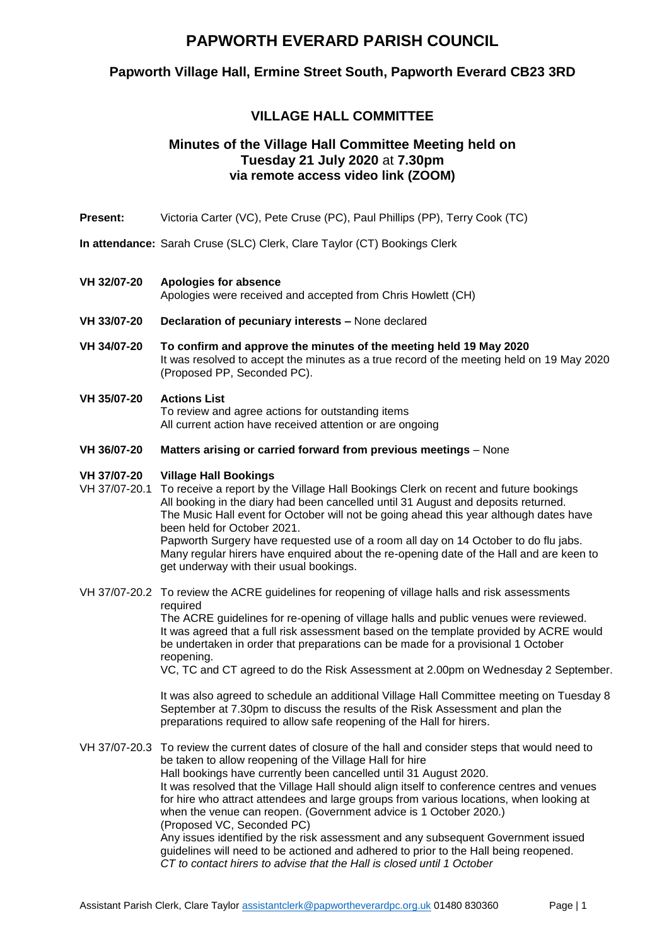## **PAPWORTH EVERARD PARISH COUNCIL**

## **Papworth Village Hall, Ermine Street South, Papworth Everard CB23 3RD**

## **VILLAGE HALL COMMITTEE**

## **Minutes of the Village Hall Committee Meeting held on Tuesday 21 July 2020** at **7.30pm via remote access video link (ZOOM)**

- **Present:** Victoria Carter (VC), Pete Cruse (PC), Paul Phillips (PP), Terry Cook (TC)
- **In attendance:** Sarah Cruse (SLC) Clerk, Clare Taylor (CT) Bookings Clerk

#### **VH 32/07-20 Apologies for absence**

Apologies were received and accepted from Chris Howlett (CH)

- **VH 33/07-20 Declaration of pecuniary interests –** None declared
- **VH 34/07-20 To confirm and approve the minutes of the meeting held 19 May 2020**  It was resolved to accept the minutes as a true record of the meeting held on 19 May 2020 (Proposed PP, Seconded PC).

#### **VH 35/07-20 Actions List**

To review and agree actions for outstanding items All current action have received attention or are ongoing

**VH 36/07-20 Matters arising or carried forward from previous meetings** – None

#### **VH 37/07-20 Village Hall Bookings**

- VH 37/07-20.1 To receive a report by the Village Hall Bookings Clerk on recent and future bookings All booking in the diary had been cancelled until 31 August and deposits returned. The Music Hall event for October will not be going ahead this year although dates have been held for October 2021. Papworth Surgery have requested use of a room all day on 14 October to do flu jabs. Many regular hirers have enquired about the re-opening date of the Hall and are keen to get underway with their usual bookings.
- VH 37/07-20.2 To review the ACRE guidelines for reopening of village halls and risk assessments required

The ACRE guidelines for re-opening of village halls and public venues were reviewed. It was agreed that a full risk assessment based on the template provided by ACRE would be undertaken in order that preparations can be made for a provisional 1 October reopening.

VC, TC and CT agreed to do the Risk Assessment at 2.00pm on Wednesday 2 September.

It was also agreed to schedule an additional Village Hall Committee meeting on Tuesday 8 September at 7.30pm to discuss the results of the Risk Assessment and plan the preparations required to allow safe reopening of the Hall for hirers.

VH 37/07-20.3 To review the current dates of closure of the hall and consider steps that would need to be taken to allow reopening of the Village Hall for hire Hall bookings have currently been cancelled until 31 August 2020. It was resolved that the Village Hall should align itself to conference centres and venues for hire who attract attendees and large groups from various locations, when looking at when the venue can reopen. (Government advice is 1 October 2020.) (Proposed VC, Seconded PC) Any issues identified by the risk assessment and any subsequent Government issued guidelines will need to be actioned and adhered to prior to the Hall being reopened. *CT to contact hirers to advise that the Hall is closed until 1 October*